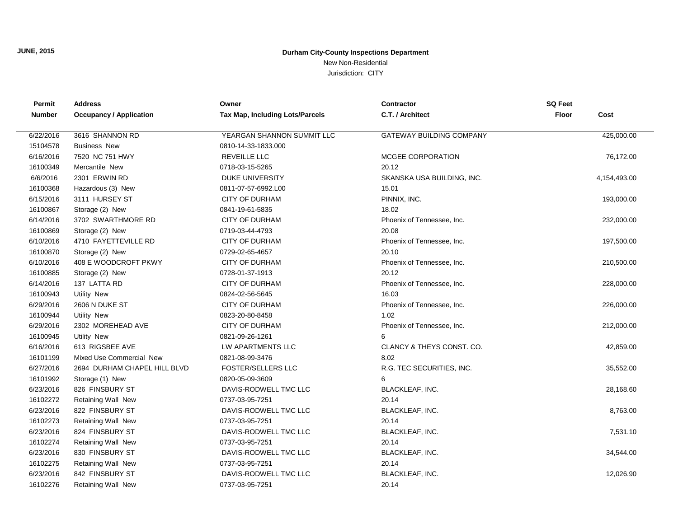## **JUNE, 2015**

## **Durham City-County Inspections Department**

New Non-Residential

Jurisdiction: CITY

| Permit        | <b>Address</b>                 | Owner                                  | Contractor                      | <b>SQ Feet</b>       |
|---------------|--------------------------------|----------------------------------------|---------------------------------|----------------------|
| <b>Number</b> | <b>Occupancy / Application</b> | <b>Tax Map, Including Lots/Parcels</b> | C.T. / Architect                | <b>Floor</b><br>Cost |
|               |                                |                                        |                                 |                      |
| 6/22/2016     | 3616 SHANNON RD                | YEARGAN SHANNON SUMMIT LLC             | <b>GATEWAY BUILDING COMPANY</b> | 425,000.00           |
| 15104578      | <b>Business New</b>            | 0810-14-33-1833.000                    |                                 |                      |
| 6/16/2016     | 7520 NC 751 HWY                | <b>REVEILLE LLC</b>                    | MCGEE CORPORATION               | 76,172.00            |
| 16100349      | Mercantile New                 | 0718-03-15-5265                        | 20.12                           |                      |
| 6/6/2016      | 2301 ERWIN RD                  | DUKE UNIVERSITY                        | SKANSKA USA BUILDING, INC.      | 4,154,493.00         |
| 16100368      | Hazardous (3) New              | 0811-07-57-6992.L00                    | 15.01                           |                      |
| 6/15/2016     | 3111 HURSEY ST                 | CITY OF DURHAM                         | PINNIX, INC.                    | 193,000.00           |
| 16100867      | Storage (2) New                | 0841-19-61-5835                        | 18.02                           |                      |
| 6/14/2016     | 3702 SWARTHMORE RD             | <b>CITY OF DURHAM</b>                  | Phoenix of Tennessee, Inc.      | 232,000.00           |
| 16100869      | Storage (2) New                | 0719-03-44-4793                        | 20.08                           |                      |
| 6/10/2016     | 4710 FAYETTEVILLE RD           | <b>CITY OF DURHAM</b>                  | Phoenix of Tennessee, Inc.      | 197,500.00           |
| 16100870      | Storage (2) New                | 0729-02-65-4657                        | 20.10                           |                      |
| 6/10/2016     | 408 E WOODCROFT PKWY           | <b>CITY OF DURHAM</b>                  | Phoenix of Tennessee, Inc.      | 210,500.00           |
| 16100885      | Storage (2) New                | 0728-01-37-1913                        | 20.12                           |                      |
| 6/14/2016     | 137 LATTA RD                   | <b>CITY OF DURHAM</b>                  | Phoenix of Tennessee, Inc.      | 228,000.00           |
| 16100943      | <b>Utility New</b>             | 0824-02-56-5645                        | 16.03                           |                      |
| 6/29/2016     | 2606 N DUKE ST                 | <b>CITY OF DURHAM</b>                  | Phoenix of Tennessee, Inc.      | 226,000.00           |
| 16100944      | <b>Utility New</b>             | 0823-20-80-8458                        | 1.02                            |                      |
| 6/29/2016     | 2302 MOREHEAD AVE              | <b>CITY OF DURHAM</b>                  | Phoenix of Tennessee, Inc.      | 212,000.00           |
| 16100945      | <b>Utility New</b>             | 0821-09-26-1261                        | 6                               |                      |
| 6/16/2016     | 613 RIGSBEE AVE                | LW APARTMENTS LLC                      | CLANCY & THEYS CONST. CO.       | 42,859.00            |
| 16101199      | Mixed Use Commercial New       | 0821-08-99-3476                        | 8.02                            |                      |
| 6/27/2016     | 2694 DURHAM CHAPEL HILL BLVD   | <b>FOSTER/SELLERS LLC</b>              | R.G. TEC SECURITIES, INC.       | 35,552.00            |
| 16101992      | Storage (1) New                | 0820-05-09-3609                        | 6                               |                      |
| 6/23/2016     | 826 FINSBURY ST                | DAVIS-RODWELL TMC LLC                  | BLACKLEAF, INC.                 | 28,168.60            |
| 16102272      | <b>Retaining Wall New</b>      | 0737-03-95-7251                        | 20.14                           |                      |
| 6/23/2016     | 822 FINSBURY ST                | DAVIS-RODWELL TMC LLC                  | BLACKLEAF, INC.                 | 8,763.00             |
| 16102273      | Retaining Wall New             | 0737-03-95-7251                        | 20.14                           |                      |
| 6/23/2016     | 824 FINSBURY ST                | DAVIS-RODWELL TMC LLC                  | BLACKLEAF, INC.                 | 7,531.10             |
| 16102274      | <b>Retaining Wall New</b>      | 0737-03-95-7251                        | 20.14                           |                      |
| 6/23/2016     | 830 FINSBURY ST                | DAVIS-RODWELL TMC LLC                  | <b>BLACKLEAF, INC.</b>          | 34,544.00            |
| 16102275      | <b>Retaining Wall New</b>      | 0737-03-95-7251                        | 20.14                           |                      |
| 6/23/2016     | 842 FINSBURY ST                | DAVIS-RODWELL TMC LLC                  | BLACKLEAF, INC.                 | 12,026.90            |
| 16102276      | Retaining Wall New             | 0737-03-95-7251                        | 20.14                           |                      |